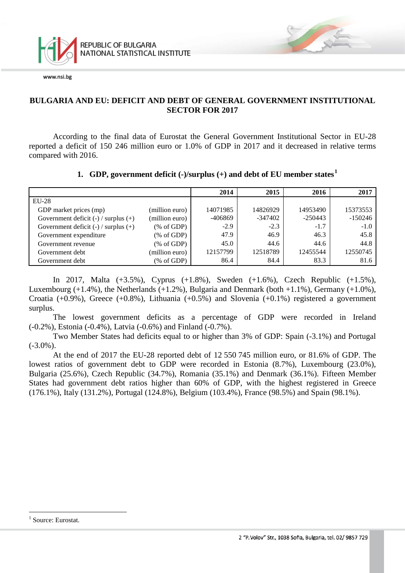

### **BULGARIA AND EU: DEFICIT AND DEBT OF GENERAL GOVERNMENT INSTITUTIONAL SECTOR FOR 2017**

According to the final data of Eurostat the General Government Institutional Sector in EU-28 reported a deficit of 150 246 million euro or 1.0% of GDP in 2017 and it decreased in relative terms compared with 2016.

#### **1. GDP, government deficit (-)/surplus (+) and debt of EU member states[1](#page-0-0)**

|                                          |                | 2014     | 2015      | 2016      | 2017      |
|------------------------------------------|----------------|----------|-----------|-----------|-----------|
| $EU-28$                                  |                |          |           |           |           |
| GDP market prices (mp)                   | (million euro) | 14071985 | 14826929  | 14953490  | 15373553  |
| Government deficit $(-)$ / surplus $(+)$ | (million euro) | -406869  | $-347402$ | $-250443$ | $-150246$ |
| Government deficit $(-)$ / surplus $(+)$ | % of GDP       | $-2.9$   | $-2.3$    | $-1.7$    | $-1.0$    |
| Government expenditure                   | % of GDP       | 47.9     | 46.9      | 46.3      | 45.8      |
| Government revenue                       | % of GDP       | 45.0     | 44.6      | 44.6      | 44.8      |
| Government debt                          | (million euro) | 12157799 | 12518789  | 12455544  | 12550745  |
| Government debt                          | % of GDP       | 86.4     | 84.4      | 83.3      | 81.6      |

In 2017, Malta (+3.5%), Cyprus (+1.8%), Sweden (+1.6%), Czech Republic (+1.5%), Luxembourg  $(+1.4\%)$ , the Netherlands  $(+1.2\%)$ , Bulgaria and Denmark (both  $+1.1\%$ ), Germany  $(+1.0\%)$ , Croatia (+0.9%), Greece (+0.8%), Lithuania (+0.5%) and Slovenia (+0.1%) registered a government surplus.

The lowest government deficits as a percentage of GDP were recorded in Ireland (-0.2%), Estonia (-0.4%), Latvia (-0.6%) and Finland (-0.7%).

Two Member States had deficits equal to or higher than 3% of GDP: Spain (-3.1%) and Portugal  $(-3.0\%)$ .

At the end of 2017 the EU-28 reported debt of 12 550 745 million euro, or 81.6% of GDP. The lowest ratios of government debt to GDP were recorded in Estonia (8.7%), Luxembourg (23.0%), Bulgaria (25.6%), Czech Republic (34.7%), Romania (35.1%) and Denmark (36.1%). Fifteen Member States had government debt ratios higher than 60% of GDP, with the highest registered in Greece (176.1%), Italy (131.2%), Portugal (124.8%), Belgium (103.4%), France (98.5%) and Spain (98.1%).

<span id="page-0-0"></span><sup>&</sup>lt;sup>1</sup> Source: Eurostat.  $\frac{1}{1}$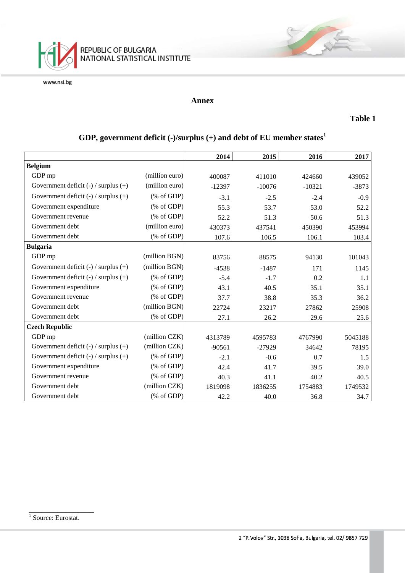

### **Annex**

### **Table 1**

## **GDP, government deficit (-)/surplus (+) and debt of EU member states<sup>1</sup>**

|                                          |                                                       | 2014     | 2015     | 2016     | 2017    |
|------------------------------------------|-------------------------------------------------------|----------|----------|----------|---------|
| <b>Belgium</b>                           |                                                       |          |          |          |         |
| GDP mp                                   | (million euro)                                        | 400087   | 411010   | 424660   | 439052  |
| Government deficit $(-)$ / surplus $(+)$ | (million euro)                                        | $-12397$ | $-10076$ | $-10321$ | $-3873$ |
| Government deficit $(-)$ / surplus $(+)$ | $(% \mathcal{L}_{0}^{\infty}$ (% of GDP)              | $-3.1$   | $-2.5$   | $-2.4$   | $-0.9$  |
| Government expenditure                   | $(% \mathcal{L}_{0} \cap \mathcal{L}_{1})$ (% of GDP) | 55.3     | 53.7     | 53.0     | 52.2    |
| Government revenue                       | $(% \mathcal{L}_{0} \cap \mathcal{L}_{1})$ (% of GDP) | 52.2     | 51.3     | 50.6     | 51.3    |
| Government debt                          | (million euro)                                        | 430373   | 437541   | 450390   | 453994  |
| Government debt                          | $(% \mathcal{L}_{0} \cap \mathcal{L}_{1})$ (% of GDP) | 107.6    | 106.5    | 106.1    | 103.4   |
| <b>Bulgaria</b>                          |                                                       |          |          |          |         |
| GDP mp                                   | (million BGN)                                         | 83756    | 88575    | 94130    | 101043  |
| Government deficit $(-)$ / surplus $(+)$ | (million BGN)                                         | $-4538$  | $-1487$  | 171      | 1145    |
| Government deficit $(-)$ / surplus $(+)$ | $(% \mathcal{L}_{0}^{\infty}$ (% of GDP)              | $-5.4$   | $-1.7$   | 0.2      | 1.1     |
| Government expenditure                   | $(% \mathcal{L}_{0}^{\infty}$ (% of GDP)              | 43.1     | 40.5     | 35.1     | 35.1    |
| Government revenue                       | $(% \mathcal{L}_{0}^{\infty}$ (% of GDP)              | 37.7     | 38.8     | 35.3     | 36.2    |
| Government debt                          | (million BGN)                                         | 22724    | 23217    | 27862    | 25908   |
| Government debt                          | $(% \mathcal{L}_{0} \cap \mathcal{L}_{1})$ (% of GDP) | 27.1     | 26.2     | 29.6     | 25.6    |
| <b>Czech Republic</b>                    |                                                       |          |          |          |         |
| GDP mp                                   | (million CZK)                                         | 4313789  | 4595783  | 4767990  | 5045188 |
| Government deficit (-) / surplus (+)     | (million CZK)                                         | $-90561$ | $-27929$ | 34642    | 78195   |
| Government deficit $(-)$ / surplus $(+)$ | $(% \mathcal{L}_{0}^{\infty}$ (% of GDP)              | $-2.1$   | $-0.6$   | 0.7      | 1.5     |
| Government expenditure                   | $(% \mathcal{L}_{0}^{\infty}$ (% of GDP)              | 42.4     | 41.7     | 39.5     | 39.0    |
| Government revenue                       | % of GDP                                              | 40.3     | 41.1     | 40.2     | 40.5    |
| Government debt                          | (million CZK)                                         | 1819098  | 1836255  | 1754883  | 1749532 |
| Government debt                          | $(% \mathcal{L}_{0} \cap \mathcal{L}_{1})$ (% of GDP) | 42.2     | 40.0     | 36.8     | 34.7    |

\_\_\_\_\_\_\_\_\_\_\_\_\_\_\_\_

<sup>&</sup>lt;sup>1</sup> Source: Eurostat.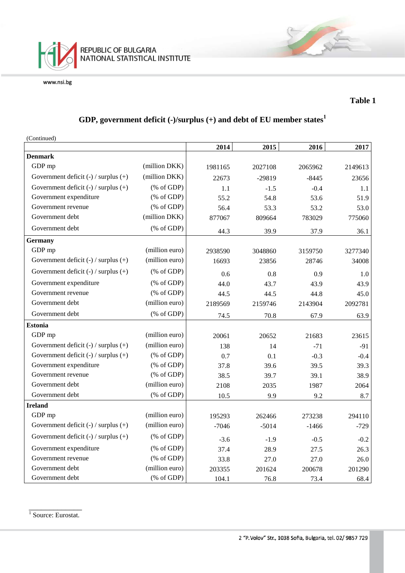

### **Table 1**

## **GDP, government deficit (-)/surplus (+) and debt of EU member states<sup>1</sup>**

| (Continued)                              |                                                       |         |          |         |         |
|------------------------------------------|-------------------------------------------------------|---------|----------|---------|---------|
|                                          |                                                       | 2014    | 2015     | 2016    | 2017    |
| <b>Denmark</b>                           |                                                       |         |          |         |         |
| GDP mp                                   | (million DKK)                                         | 1981165 | 2027108  | 2065962 | 2149613 |
| Government deficit $(-)$ / surplus $(+)$ | (million DKK)                                         | 22673   | $-29819$ | $-8445$ | 23656   |
| Government deficit $(-)$ / surplus $(+)$ | $(% \mathcal{L}_{0} \cap \mathcal{L}_{1})$ (% of GDP) | 1.1     | $-1.5$   | $-0.4$  | 1.1     |
| Government expenditure                   | $(% \mathcal{L}_{0} \cap \mathcal{L}_{1})$ (% of GDP) | 55.2    | 54.8     | 53.6    | 51.9    |
| Government revenue                       | $(% \mathcal{L}_{0} \cap \mathcal{L}_{1})$ (% of GDP) | 56.4    | 53.3     | 53.2    | 53.0    |
| Government debt                          | (million DKK)                                         | 877067  | 809664   | 783029  | 775060  |
| Government debt                          | $(% \mathcal{L}_{0} \cap \mathcal{L}_{1})$ (% of GDP) | 44.3    | 39.9     | 37.9    | 36.1    |
| <b>Germany</b>                           |                                                       |         |          |         |         |
| GDP mp                                   | (million euro)                                        | 2938590 | 3048860  | 3159750 | 3277340 |
| Government deficit $(-)$ / surplus $(+)$ | (million euro)                                        | 16693   | 23856    | 28746   | 34008   |
| Government deficit $(-)$ / surplus $(+)$ | $(% \mathcal{L}_{0} \cap \mathcal{L}_{1})$ (% of GDP) | 0.6     | 0.8      | 0.9     | 1.0     |
| Government expenditure                   | $(% \mathcal{L}_{0} \cap \mathcal{L}_{1})$ (% of GDP) | 44.0    | 43.7     | 43.9    | 43.9    |
| Government revenue                       | $(% \mathcal{L}_{0} \cap \mathcal{L}_{1})$ (% of GDP) | 44.5    | 44.5     | 44.8    | 45.0    |
| Government debt                          | (million euro)                                        | 2189569 | 2159746  | 2143904 | 2092781 |
| Government debt                          | (% of GDP)                                            | 74.5    | 70.8     | 67.9    | 63.9    |
| <b>Estonia</b>                           |                                                       |         |          |         |         |
| GDP mp                                   | (million euro)                                        | 20061   | 20652    | 21683   | 23615   |
| Government deficit $(-)$ / surplus $(+)$ | (million euro)                                        | 138     | 14       | $-71$   | $-91$   |
| Government deficit $(-)$ / surplus $(+)$ | $(% \mathcal{L}_{0} \cap \mathcal{L}_{1})$ (% of GDP) | 0.7     | 0.1      | $-0.3$  | $-0.4$  |
| Government expenditure                   | $(% \mathcal{L}_{0} \cap \mathcal{L}_{1})$ (% of GDP) | 37.8    | 39.6     | 39.5    | 39.3    |
| Government revenue                       | $(% \mathcal{L}_{0} \cap \mathcal{L}_{1})$ (% of GDP) | 38.5    | 39.7     | 39.1    | 38.9    |
| Government debt                          | (million euro)                                        | 2108    | 2035     | 1987    | 2064    |
| Government debt                          | $(% \mathcal{L}_{0}$ (% of GDP)                       | 10.5    | 9.9      | 9.2     | 8.7     |
| <b>Ireland</b>                           |                                                       |         |          |         |         |
| GDP mp                                   | (million euro)                                        | 195293  | 262466   | 273238  | 294110  |
| Government deficit $(-)$ / surplus $(+)$ | (million euro)                                        | $-7046$ | $-5014$  | $-1466$ | $-729$  |
| Government deficit $(-)$ / surplus $(+)$ | $(% \mathcal{L}_{0} \cap \mathcal{L}_{1})$ (% of GDP) | $-3.6$  | $-1.9$   | $-0.5$  | $-0.2$  |
| Government expenditure                   | $(% \mathcal{L}_{0} \cap \mathcal{L}_{1})$ (% of GDP) | 37.4    | 28.9     | 27.5    | 26.3    |
| Government revenue                       | $(% \mathcal{L}_{0} \cap \mathcal{L}_{1})$ (% of GDP) | 33.8    | 27.0     | 27.0    | 26.0    |
| Government debt                          | (million euro)                                        | 203355  | 201624   | 200678  | 201290  |
| Government debt                          | $(% \mathcal{L}_{0} \cap \mathcal{L}_{1})$ (% of GDP) | 104.1   | 76.8     | 73.4    | 68.4    |

\_\_\_\_\_\_\_\_\_\_\_\_\_ <sup>1</sup> Source: Eurostat.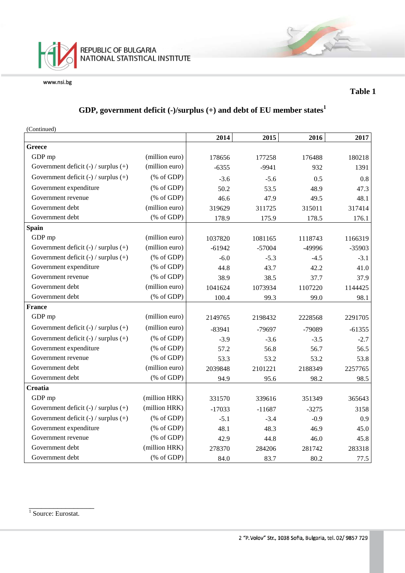

### **Table 1**

### **GDP, government deficit (-)/surplus (+) and debt of EU member states<sup>1</sup>**

(Continued)

|                                          |                                                                 | 2014     | 2015     | 2016    | 2017     |
|------------------------------------------|-----------------------------------------------------------------|----------|----------|---------|----------|
| <b>Greece</b>                            |                                                                 |          |          |         |          |
| GDP mp                                   | (million euro)                                                  | 178656   | 177258   | 176488  | 180218   |
| Government deficit $(-)$ / surplus $(+)$ | (million euro)                                                  | $-6355$  | $-9941$  | 932     | 1391     |
| Government deficit $(-)$ / surplus $(+)$ | $(% \mathcal{L}_{0} \cap \mathcal{L}_{1})$ (% of GDP)           | $-3.6$   | $-5.6$   | 0.5     | 0.8      |
| Government expenditure                   | $(% \mathcal{L}_{0} \cap \mathcal{L}_{1})$ (% of GDP)           | 50.2     | 53.5     | 48.9    | 47.3     |
| Government revenue                       | $(% \mathcal{L}_{0}^{\ast }\otimes \mathcal{L}_{1})$ (% of GDP) | 46.6     | 47.9     | 49.5    | 48.1     |
| Government debt                          | (million euro)                                                  | 319629   | 311725   | 315011  | 317414   |
| Government debt                          | $(% \mathcal{L}_{0}$ (% of GDP)                                 | 178.9    | 175.9    | 178.5   | 176.1    |
| Spain                                    |                                                                 |          |          |         |          |
| GDP mp                                   | (million euro)                                                  | 1037820  | 1081165  | 1118743 | 1166319  |
| Government deficit $(-)$ / surplus $(+)$ | (million euro)                                                  | $-61942$ | $-57004$ | -49996  | $-35903$ |
| Government deficit $(-)$ / surplus $(+)$ | $(% \mathcal{L}_{0}^{\infty}$ (% of GDP)                        | $-6.0$   | $-5.3$   | $-4.5$  | $-3.1$   |
| Government expenditure                   | $(% \mathcal{L}_{0}^{\ast }\otimes \mathcal{L}_{1})$ (% of GDP) | 44.8     | 43.7     | 42.2    | 41.0     |
| Government revenue                       | $(% \mathcal{L}_{0} \cap \mathcal{L}_{1})$ (% of GDP)           | 38.9     | 38.5     | 37.7    | 37.9     |
| Government debt                          | (million euro)                                                  | 1041624  | 1073934  | 1107220 | 1144425  |
| Government debt                          | $(% \mathcal{L}_{0} \cap \mathcal{L}_{1})$ (% of GDP)           | 100.4    | 99.3     | 99.0    | 98.1     |
| <b>France</b>                            |                                                                 |          |          |         |          |
| GDP mp                                   | (million euro)                                                  | 2149765  | 2198432  | 2228568 | 2291705  |
| Government deficit $(-)$ / surplus $(+)$ | (million euro)                                                  | $-83941$ | $-79697$ | -79089  | $-61355$ |
| Government deficit $(-)$ / surplus $(+)$ | $(% \mathcal{L}_{0}^{\ast} \times \mathcal{L}_{1})$ (% of GDP)  | $-3.9$   | $-3.6$   | $-3.5$  | $-2.7$   |
| Government expenditure                   | $(% \mathcal{L}_{0}^{\infty}$ (% of GDP)                        | 57.2     | 56.8     | 56.7    | 56.5     |
| Government revenue                       | $(% \mathcal{L}_{0} \cap \mathcal{L}_{1})$ (% of GDP)           | 53.3     | 53.2     | 53.2    | 53.8     |
| Government debt                          | (million euro)                                                  | 2039848  | 2101221  | 2188349 | 2257765  |
| Government debt                          | (% of GDP)                                                      | 94.9     | 95.6     | 98.2    | 98.5     |
| Croatia                                  |                                                                 |          |          |         |          |
| GDP mp                                   | (million HRK)                                                   | 331570   | 339616   | 351349  | 365643   |
| Government deficit $(-)$ / surplus $(+)$ | (million HRK)                                                   | $-17033$ | $-11687$ | $-3275$ | 3158     |
| Government deficit $(-)$ / surplus $(+)$ | $(% \mathcal{L}_{0} \cap \mathcal{L}_{1})$ (% of GDP)           | $-5.1$   | $-3.4$   | $-0.9$  | 0.9      |
| Government expenditure                   | $(% \mathcal{L}_{0} \cap \mathcal{L}_{1})$ (% of GDP)           | 48.1     | 48.3     | 46.9    | 45.0     |
| Government revenue                       | $(% \mathcal{L}_{0} \cap \mathcal{L}_{1})$ (% of GDP)           | 42.9     | 44.8     | 46.0    | 45.8     |
| Government debt                          | (million HRK)                                                   | 278370   | 284206   | 281742  | 283318   |
| Government debt                          | $(% \mathcal{L}_{0}$ (% of GDP)                                 | 84.0     | 83.7     | 80.2    | 77.5     |

\_\_\_\_\_\_\_\_\_\_\_\_\_\_\_\_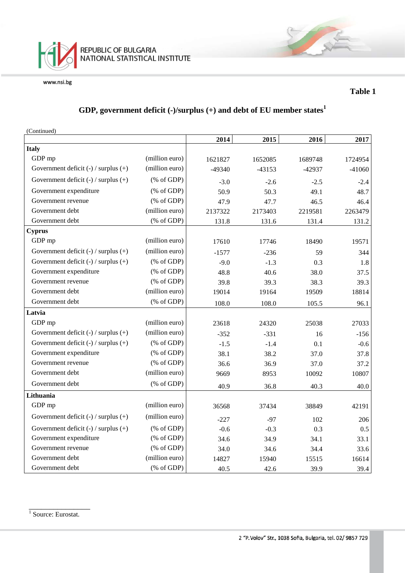

### **Table 1**

### **GDP, government deficit (-)/surplus (+) and debt of EU member states<sup>1</sup>**

| (Continued)                              |                                                       |          |          |          |          |
|------------------------------------------|-------------------------------------------------------|----------|----------|----------|----------|
|                                          |                                                       | 2014     | 2015     | 2016     | 2017     |
| <b>Italy</b>                             |                                                       |          |          |          |          |
| GDP mp                                   | (million euro)                                        | 1621827  | 1652085  | 1689748  | 1724954  |
| Government deficit $(-)$ / surplus $(+)$ | (million euro)                                        | $-49340$ | $-43153$ | $-42937$ | $-41060$ |
| Government deficit (-) / surplus (+)     | $(% \mathcal{L}_{0}^{\infty}$ (% of GDP)              | $-3.0$   | $-2.6$   | $-2.5$   | $-2.4$   |
| Government expenditure                   | $(% \mathcal{L}_{0}$ (% of GDP)                       | 50.9     | 50.3     | 49.1     | 48.7     |
| Government revenue                       | $(% \mathcal{L}_{0}$ (% of GDP)                       | 47.9     | 47.7     | 46.5     | 46.4     |
| Government debt                          | (million euro)                                        | 2137322  | 2173403  | 2219581  | 2263479  |
| Government debt                          | $(% \mathcal{L}_{0} \cap \mathcal{L}_{1})$ (% of GDP) | 131.8    | 131.6    | 131.4    | 131.2    |
| <b>Cyprus</b>                            |                                                       |          |          |          |          |
| GDP mp                                   | (million euro)                                        | 17610    | 17746    | 18490    | 19571    |
| Government deficit $(-)$ / surplus $(+)$ | (million euro)                                        | $-1577$  | $-236$   | 59       | 344      |
| Government deficit $(-)$ / surplus $(+)$ | $(% \mathcal{L}_{0} \cap \mathcal{L}_{1})$ (% of GDP) | $-9.0$   | $-1.3$   | 0.3      | 1.8      |
| Government expenditure                   | $(% \mathcal{L}_{0}$ (% of GDP)                       | 48.8     | 40.6     | 38.0     | 37.5     |
| Government revenue                       | $(% \mathcal{L}_{0} \cap \mathcal{L}_{1})$ (% of GDP) | 39.8     | 39.3     | 38.3     | 39.3     |
| Government debt                          | (million euro)                                        | 19014    | 19164    | 19509    | 18814    |
| Government debt                          | $(% \mathcal{L}_{0} \cap \mathcal{L}_{1})$ (% of GDP) | 108.0    | 108.0    | 105.5    | 96.1     |
| Latvia                                   |                                                       |          |          |          |          |
| GDP mp                                   | (million euro)                                        | 23618    | 24320    | 25038    | 27033    |
| Government deficit $(-)$ / surplus $(+)$ | (million euro)                                        | $-352$   | $-331$   | 16       | $-156$   |
| Government deficit $(-)$ / surplus $(+)$ | $(% \mathcal{L}_{0} \cap \mathcal{L}_{1})$ (% of GDP) | $-1.5$   | $-1.4$   | 0.1      | $-0.6$   |
| Government expenditure                   | $(% \mathcal{L}_{0} \cap \mathcal{L}_{1})$ (% of GDP) | 38.1     | 38.2     | 37.0     | 37.8     |
| Government revenue                       | $(% \mathcal{L}_{0} \cap \mathcal{L}_{1})$ (% of GDP) | 36.6     | 36.9     | 37.0     | 37.2     |
| Government debt                          | (million euro)                                        | 9669     | 8953     | 10092    | 10807    |
| Government debt                          | $(% \mathcal{L}_{0} \cap \mathcal{L}_{1})$ (% of GDP) | 40.9     | 36.8     | 40.3     | 40.0     |
| Lithuania                                |                                                       |          |          |          |          |
| GDP mp                                   | (million euro)                                        | 36568    | 37434    | 38849    | 42191    |
| Government deficit $(-)$ / surplus $(+)$ | (million euro)                                        | $-227$   | $-97$    | 102      | 206      |
| Government deficit $(-)$ / surplus $(+)$ | $(% \mathcal{L}_{0} \cap \mathcal{L}_{1})$ (% of GDP) | $-0.6$   | $-0.3$   | 0.3      | 0.5      |
| Government expenditure                   | $(% \mathcal{L}_{0} \cap \mathcal{L}_{1})$ (% of GDP) | 34.6     | 34.9     | 34.1     | 33.1     |
| Government revenue                       | $(% \mathcal{L}_{0}$ (% of GDP)                       | 34.0     | 34.6     | 34.4     | 33.6     |
| Government debt                          | (million euro)                                        | 14827    | 15940    | 15515    | 16614    |
| Government debt                          | $(% \mathcal{L}_{0} \cap \mathcal{L}_{1})$ (% of GDP) | 40.5     | 42.6     | 39.9     | 39.4     |

<sup>1</sup> Source: Eurostat.

\_\_\_\_\_\_\_\_\_\_\_\_\_\_\_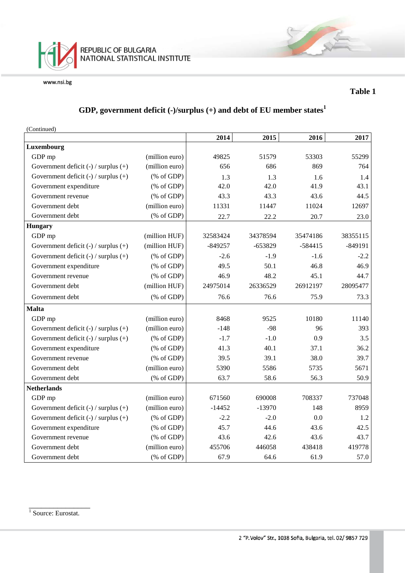

### **Table 1**

### **GDP, government deficit (-)/surplus (+) and debt of EU member states<sup>1</sup>**

(Continued)

|                                          |                                                               | 2014      | 2015      | 2016      | 2017      |
|------------------------------------------|---------------------------------------------------------------|-----------|-----------|-----------|-----------|
| Luxembourg                               |                                                               |           |           |           |           |
| GDP mp                                   | (million euro)                                                | 49825     | 51579     | 53303     | 55299     |
| Government deficit (-) / surplus (+)     | (million euro)                                                | 656       | 686       | 869       | 764       |
| Government deficit $(-)$ / surplus $(+)$ | $(% \mathcal{L}_{0} \cap \mathcal{L}_{1})$ (% of GDP)         | 1.3       | 1.3       | 1.6       | 1.4       |
| Government expenditure                   | $(% \mathcal{L}_{0} \cap \mathcal{L}_{1})$ (% of GDP)         | 42.0      | 42.0      | 41.9      | 43.1      |
| Government revenue                       | $(% \mathcal{L}_{0} \cap \mathcal{L}_{1})$ (% of GDP)         | 43.3      | 43.3      | 43.6      | 44.5      |
| Government debt                          | (million euro)                                                | 11331     | 11447     | 11024     | 12697     |
| Government debt                          | $(% \mathcal{L}_{0} \cap \mathcal{L}_{1})$ (% of GDP)         | 22.7      | 22.2      | 20.7      | 23.0      |
| <b>Hungary</b>                           |                                                               |           |           |           |           |
| GDP mp                                   | (million HUF)                                                 | 32583424  | 34378594  | 35474186  | 38355115  |
| Government deficit $(-)$ / surplus $(+)$ | (million HUF)                                                 | $-849257$ | $-653829$ | $-584415$ | $-849191$ |
| Government deficit $(-)$ / surplus $(+)$ | $(% \mathcal{L}_{0} \cap \mathcal{L}_{1})$ (% of GDP)         | $-2.6$    | $-1.9$    | $-1.6$    | $-2.2$    |
| Government expenditure                   | $(% \mathcal{L}_{0} \cap \mathcal{L}_{1})$ (% of GDP)         | 49.5      | 50.1      | 46.8      | 46.9      |
| Government revenue                       | $(% \mathcal{L}_{0} \cap \mathcal{L}_{1})$ (% of GDP)         | 46.9      | 48.2      | 45.1      | 44.7      |
| Government debt                          | (million HUF)                                                 | 24975014  | 26336529  | 26912197  | 28095477  |
| Government debt                          | $(% \mathcal{L}_{0} \cap \mathcal{L}_{1})$ (% of GDP)         | 76.6      | 76.6      | 75.9      | 73.3      |
| <b>Malta</b>                             |                                                               |           |           |           |           |
| GDP mp                                   | (million euro)                                                | 8468      | 9525      | 10180     | 11140     |
| Government deficit $(-)$ / surplus $(+)$ | (million euro)                                                | $-148$    | $-98$     | 96        | 393       |
| Government deficit $(-)$ / surplus $(+)$ | $(% \mathcal{L}_{0} \cap \mathcal{L}_{1})$ (% of GDP)         | $-1.7$    | $-1.0$    | 0.9       | 3.5       |
| Government expenditure                   | $(% \mathcal{L}_{0} \cap \mathcal{L}_{1})$ (% of GDP)         | 41.3      | 40.1      | 37.1      | 36.2      |
| Government revenue                       | $(% \mathcal{L}_{0} \cap \mathcal{L}_{1})$ (% of GDP)         | 39.5      | 39.1      | 38.0      | 39.7      |
| Government debt                          | (million euro)                                                | 5390      | 5586      | 5735      | 5671      |
| Government debt                          | $(% \mathcal{L}_{0} \cap \mathcal{L}_{1})$ (% of GDP)         | 63.7      | 58.6      | 56.3      | 50.9      |
| <b>Netherlands</b>                       |                                                               |           |           |           |           |
| GDP mp                                   | (million euro)                                                | 671560    | 690008    | 708337    | 737048    |
| Government deficit $(-)$ / surplus $(+)$ | (million euro)                                                | $-14452$  | $-13970$  | 148       | 8959      |
| Government deficit $(-)$ / surplus $(+)$ | $(% \mathcal{L}_{0} \cap \mathcal{L}_{1})$ (% of GDP)         | $-2.2$    | $-2.0$    | 0.0       | 1.2       |
| Government expenditure                   | $(% \mathcal{L}_{0}^{\ast }\circ \mathcal{L}_{1})$ (% of GDP) | 45.7      | 44.6      | 43.6      | 42.5      |
| Government revenue                       | $(% \mathcal{L}_{0} \cap \mathcal{L}_{1})$ (% of GDP)         | 43.6      | 42.6      | 43.6      | 43.7      |
| Government debt                          | (million euro)                                                | 455706    | 446058    | 438418    | 419778    |
| Government debt                          | $(% \mathcal{L}_{0} \cap \mathcal{L}_{1})$ (% of GDP)         | 67.9      | 64.6      | 61.9      | 57.0      |

\_\_\_\_\_\_\_\_\_\_\_\_\_\_\_ <sup>1</sup> Source: Eurostat.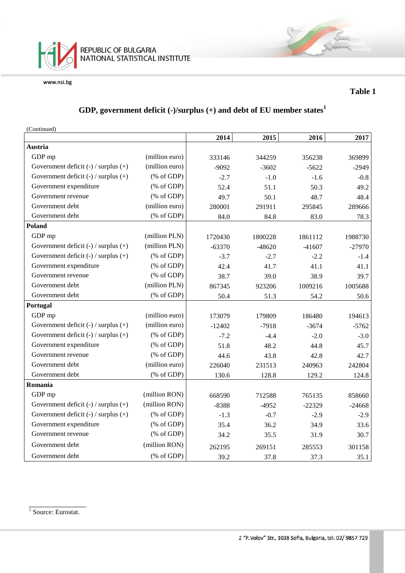

### **Table 1**

### **GDP, government deficit (-)/surplus (+) and debt of EU member states<sup>1</sup>**

(Continued)

|                                          |                                                       | 2014     | 2015     | 2016     | 2017     |
|------------------------------------------|-------------------------------------------------------|----------|----------|----------|----------|
| <b>Austria</b>                           |                                                       |          |          |          |          |
| GDP mp                                   | (million euro)                                        | 333146   | 344259   | 356238   | 369899   |
| Government deficit $(-)$ / surplus $(+)$ | (million euro)                                        | $-9092$  | $-3602$  | $-5622$  | $-2949$  |
| Government deficit $(-)$ / surplus $(+)$ | $(% \mathcal{L}_{0} \cap \mathcal{L}_{1})$ (% of GDP) | $-2.7$   | $-1.0$   | $-1.6$   | $-0.8$   |
| Government expenditure                   | $(% \mathcal{L}_{0} \cap \mathcal{L}_{1})$ (% of GDP) | 52.4     | 51.1     | 50.3     | 49.2     |
| Government revenue                       | $(% \mathcal{L}_{0} \cap \mathcal{L}_{1})$ (% of GDP) | 49.7     | 50.1     | 48.7     | 48.4     |
| Government debt                          | (million euro)                                        | 280001   | 291911   | 295845   | 289666   |
| Government debt                          | $(% \mathcal{L}_{0} \cap \mathcal{L}_{1})$ (% of GDP) | 84.0     | 84.8     | 83.0     | 78.3     |
| Poland                                   |                                                       |          |          |          |          |
| GDP mp                                   | (million PLN)                                         | 1720430  | 1800228  | 1861112  | 1988730  |
| Government deficit $(-)$ / surplus $(+)$ | (million PLN)                                         | $-63370$ | $-48620$ | $-41607$ | $-27970$ |
| Government deficit $(-)$ / surplus $(+)$ | $(% \mathcal{L}_{0}^{\infty}$ (% of GDP)              | $-3.7$   | $-2.7$   | $-2.2$   | $-1.4$   |
| Government expenditure                   | $(% \mathcal{L}_{0} \cap \mathcal{L}_{1})$ (% of GDP) | 42.4     | 41.7     | 41.1     | 41.1     |
| Government revenue                       | $(% \mathcal{L}_{0} \cap \mathcal{L}_{1})$ (% of GDP) | 38.7     | 39.0     | 38.9     | 39.7     |
| Government debt                          | (million PLN)                                         | 867345   | 923206   | 1009216  | 1005688  |
| Government debt                          | $(% \mathcal{L}_{0} \cap \mathcal{L}_{1})$ (% of GDP) | 50.4     | 51.3     | 54.2     | 50.6     |
| Portugal                                 |                                                       |          |          |          |          |
| GDP mp                                   | (million euro)                                        | 173079   | 179809   | 186480   | 194613   |
| Government deficit $(-)$ / surplus $(+)$ | (million euro)                                        | $-12402$ | $-7918$  | $-3674$  | $-5762$  |
| Government deficit (-) / surplus (+)     | $(% \mathcal{L}_{0} \cap \mathcal{L}_{1})$ (% of GDP) | $-7.2$   | $-4.4$   | $-2.0$   | $-3.0$   |
| Government expenditure                   | $(% \mathcal{L}_{0} \cap \mathcal{L}_{1})$ (% of GDP) | 51.8     | 48.2     | 44.8     | 45.7     |
| Government revenue                       | $(% \mathcal{L}_{0} \cap \mathcal{L}_{1})$ (% of GDP) | 44.6     | 43.8     | 42.8     | 42.7     |
| Government debt                          | (million euro)                                        | 226040   | 231513   | 240963   | 242804   |
| Government debt                          | $(% \mathcal{L}_{0} \cap \mathcal{L}_{1})$ (% of GDP) | 130.6    | 128.8    | 129.2    | 124.8    |
| Romania                                  |                                                       |          |          |          |          |
| GDP mp                                   | (million RON)                                         | 668590   | 712588   | 765135   | 858660   |
| Government deficit $(-)$ / surplus $(+)$ | (million RON)                                         | $-8388$  | $-4952$  | $-22329$ | $-24668$ |
| Government deficit $(-)$ / surplus $(+)$ | $(% \mathcal{L}_{0} \cap \mathcal{L}_{1})$ (% of GDP) | $-1.3$   | $-0.7$   | $-2.9$   | $-2.9$   |
| Government expenditure                   | $(% \mathcal{L}_{0} \cap \mathcal{L}_{1})$ (% of GDP) | 35.4     | 36.2     | 34.9     | 33.6     |
| Government revenue                       | $(% \mathcal{L}_{0} \cap \mathcal{L}_{1})$ (% of GDP) | 34.2     | 35.5     | 31.9     | 30.7     |
| Government debt                          | (million RON)                                         | 262195   | 269151   | 285553   | 301158   |
| Government debt                          | $(% \mathcal{L}_{0} \cap \mathcal{L}_{1})$ (% of GDP) | 39.2     | 37.8     | 37.3     | 35.1     |

\_\_\_\_\_\_\_\_\_\_\_\_\_\_ <sup>1</sup> Source: Eurostat.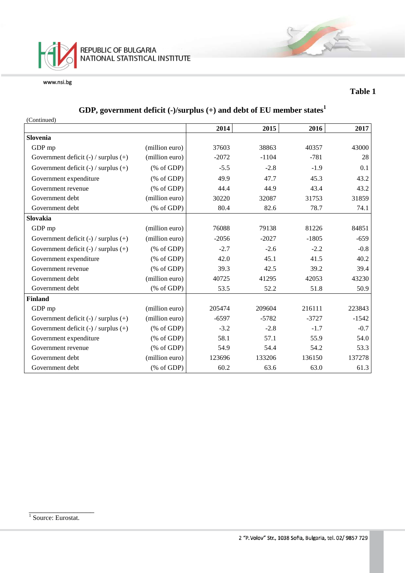

### **Table 1**

# **GDP, government deficit (-)/surplus (+) and debt of EU member states<sup>1</sup>**

| (Continued)                              |                                                       |         |         |         |         |
|------------------------------------------|-------------------------------------------------------|---------|---------|---------|---------|
|                                          |                                                       | 2014    | 2015    | 2016    | 2017    |
| Slovenia                                 |                                                       |         |         |         |         |
| GDP mp                                   | (million euro)                                        | 37603   | 38863   | 40357   | 43000   |
| Government deficit $(-)$ / surplus $(+)$ | (million euro)                                        | $-2072$ | $-1104$ | $-781$  | 28      |
| Government deficit $(-)$ / surplus $(+)$ | $(\% \text{ of GDP})$                                 | $-5.5$  | $-2.8$  | $-1.9$  | 0.1     |
| Government expenditure                   | $(\% \text{ of GDP})$                                 | 49.9    | 47.7    | 45.3    | 43.2    |
| Government revenue                       | $(% \mathcal{L}_{0} \cap \mathcal{L}_{1})$ (% of GDP) | 44.4    | 44.9    | 43.4    | 43.2    |
| Government debt                          | (million euro)                                        | 30220   | 32087   | 31753   | 31859   |
| Government debt                          | $(% \mathcal{L}_{0} \cap \mathcal{L}_{1})$ (% of GDP) | 80.4    | 82.6    | 78.7    | 74.1    |
| Slovakia                                 |                                                       |         |         |         |         |
| GDP mp                                   | (million euro)                                        | 76088   | 79138   | 81226   | 84851   |
| Government deficit $(-)$ / surplus $(+)$ | (million euro)                                        | $-2056$ | $-2027$ | $-1805$ | $-659$  |
| Government deficit $(-)$ / surplus $(+)$ | $(\% \text{ of GDP})$                                 | $-2.7$  | $-2.6$  | $-2.2$  | $-0.8$  |
| Government expenditure                   | $(\% \text{ of GDP})$                                 | 42.0    | 45.1    | 41.5    | 40.2    |
| Government revenue                       | $(% \mathcal{L}_{0}^{\infty}$ (% of GDP)              | 39.3    | 42.5    | 39.2    | 39.4    |
| Government debt                          | (million euro)                                        | 40725   | 41295   | 42053   | 43230   |
| Government debt                          | $(% \mathcal{L}_{0} \cap \mathcal{L}_{1})$ (% of GDP) | 53.5    | 52.2    | 51.8    | 50.9    |
| <b>Finland</b>                           |                                                       |         |         |         |         |
| GDP mp                                   | (million euro)                                        | 205474  | 209604  | 216111  | 223843  |
| Government deficit $(-)$ / surplus $(+)$ | (million euro)                                        | $-6597$ | $-5782$ | $-3727$ | $-1542$ |
| Government deficit $(-)$ / surplus $(+)$ | $(% \mathcal{L}_{0}^{\infty}$ (% of GDP)              | $-3.2$  | $-2.8$  | $-1.7$  | $-0.7$  |
| Government expenditure                   | $(% \mathcal{L}_{0}^{\infty}$ (% of GDP)              | 58.1    | 57.1    | 55.9    | 54.0    |
| Government revenue                       | $(% \mathcal{L}_{0}^{\infty}$ (% of GDP)              | 54.9    | 54.4    | 54.2    | 53.3    |
| Government debt                          | (million euro)                                        | 123696  | 133206  | 136150  | 137278  |
| Government debt                          | % of GDP                                              | 60.2    | 63.6    | 63.0    | 61.3    |

\_\_\_\_\_\_\_\_\_\_\_\_\_\_\_\_

<sup>&</sup>lt;sup>1</sup> Source: Eurostat.